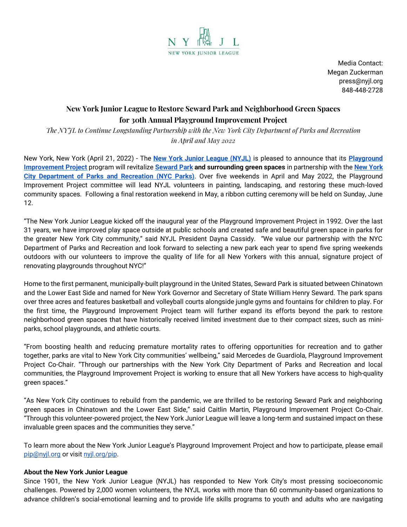

Media Contact: Megan Zuckerman press@nyjl.org 848-448-2728

## **New York Junior League to Restore Seward Park and Neighborhood Green Spaces for 30th Annual Playground Improvement Project**

*The NYJL to Continue Longstanding Partnership with the New York City Department of Parks and Recreation in April and May 2022*

New York, New York (April 21, 2022) - The **[New York Junior League \(NYJL\)](http://www.nyjl.org/)** is pleased to announce that its **[Playground](http://nyjl.org/pip)  [Improvement Project](http://nyjl.org/pip)** program will revitalize **[Seward Park](https://www.nycgovparks.org/parks/seward-park) and surrounding green spaces** in partnership with the **[New York](https://www.nycgovparks.org/)  [City Department of Parks and Recreation \(NYC Parks\)](https://www.nycgovparks.org/)**. Over five weekends in April and May 2022, the Playground Improvement Project committee will lead NYJL volunteers in painting, landscaping, and restoring these much-loved community spaces. Following a final restoration weekend in May, a ribbon cutting ceremony will be held on Sunday, June 12.

"The New York Junior League kicked off the inaugural year of the Playground Improvement Project in 1992. Over the last 31 years, we have improved play space outside at public schools and created safe and beautiful green space in parks for the greater New York City community," said NYJL President Dayna Cassidy. "We value our partnership with the NYC Department of Parks and Recreation and look forward to selecting a new park each year to spend five spring weekends outdoors with our volunteers to improve the quality of life for all New Yorkers with this annual, signature project of renovating playgrounds throughout NYC!"

Home to the first permanent, municipally-built playground in the United States, Seward Park is situated between Chinatown and the Lower East Side and named for New York Governor and Secretary of State William Henry Seward. The park spans over three acres and features basketball and volleyball courts alongside jungle gyms and fountains for children to play. For the first time, the Playground Improvement Project team will further expand its efforts beyond the park to restore neighborhood green spaces that have historically received limited investment due to their compact sizes, such as miniparks, school playgrounds, and athletic courts.

"From boosting health and reducing premature mortality rates to offering opportunities for recreation and to gather together, parks are vital to New York City communities' wellbeing," said Mercedes de Guardiola, Playground Improvement Project Co-Chair. "Through our partnerships with the New York City Department of Parks and Recreation and local communities, the Playground Improvement Project is working to ensure that all New Yorkers have access to high-quality green spaces."

"As New York City continues to rebuild from the pandemic, we are thrilled to be restoring Seward Park and neighboring green spaces in Chinatown and the Lower East Side," said Caitlin Martin, Playground Improvement Project Co-Chair. "Through this volunteer-powered project, the New York Junior League will leave a long-term and sustained impact on these invaluable green spaces and the communities they serve."

To learn more about the New York Junior League's Playground Improvement Project and how to participate, please email [pip@nyjl.org](mailto:pip@nyjl.org) or visi[t nyjl.org/pip.](http://www.nyjl.org/pip)

## **About the New York Junior League**

Since 1901, the New York Junior League (NYJL) has responded to New York City's most pressing socioeconomic challenges. Powered by 2,000 women volunteers, the NYJL works with more than 60 community-based organizations to advance children's social-emotional learning and to provide life skills programs to youth and adults who are navigating